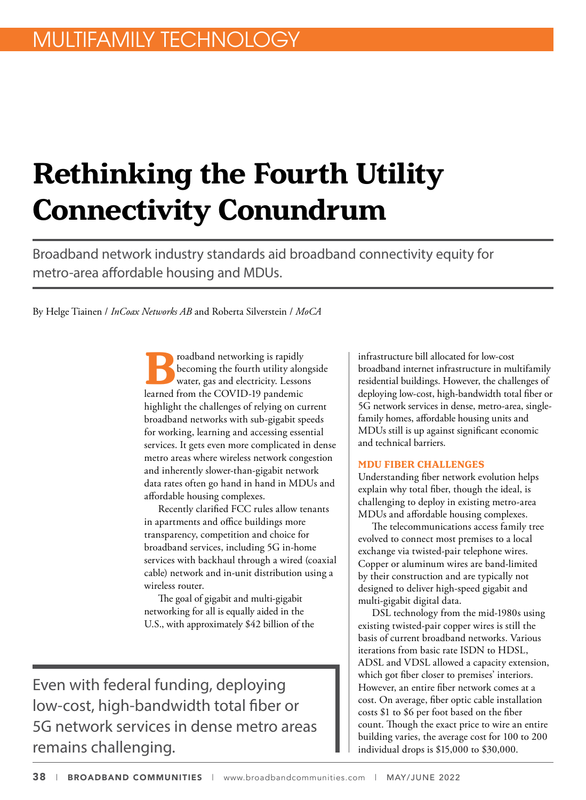# **Rethinking the Fourth Utility Connectivity Conundrum**

Broadband network industry standards aid broadband connectivity equity for metro-area affordable housing and MDUs.

By Helge Tiainen / *InCoax Networks AB* and Roberta Silverstein / *MoCA*

**B**roadband networking is rapidly<br>becoming the fourth utility alors<br>learned from the COVID-19 pandemic becoming the fourth utility alongside water, gas and electricity. Lessons learned from the COVID-19 pandemic highlight the challenges of relying on current broadband networks with sub-gigabit speeds for working, learning and accessing essential services. It gets even more complicated in dense metro areas where wireless network congestion and inherently slower-than-gigabit network data rates often go hand in hand in MDUs and affordable housing complexes.

Recently clarified FCC rules allow tenants in apartments and office buildings more transparency, competition and choice for broadband services, including 5G in-home services with backhaul through a wired (coaxial cable) network and in-unit distribution using a wireless router.

The goal of gigabit and multi-gigabit networking for all is equally aided in the U.S., with approximately \$42 billion of the

Even with federal funding, deploying low-cost, high-bandwidth total fiber or 5G network services in dense metro areas remains challenging.

infrastructure bill allocated for low-cost broadband internet infrastructure in multifamily residential buildings. However, the challenges of deploying low-cost, high-bandwidth total fiber or 5G network services in dense, metro-area, singlefamily homes, affordable housing units and MDUs still is up against significant economic and technical barriers.

### **MDU FIBER CHALLENGES**

Understanding fiber network evolution helps explain why total fiber, though the ideal, is challenging to deploy in existing metro-area MDUs and affordable housing complexes.

The telecommunications access family tree evolved to connect most premises to a local exchange via twisted-pair telephone wires. Copper or aluminum wires are band-limited by their construction and are typically not designed to deliver high-speed gigabit and multi-gigabit digital data.

DSL technology from the mid-1980s using existing twisted-pair copper wires is still the basis of current broadband networks. Various iterations from basic rate ISDN to HDSL, ADSL and VDSL allowed a capacity extension, which got fiber closer to premises' interiors. However, an entire fiber network comes at a cost. On average, fiber optic cable installation costs \$1 to \$6 per foot based on the fiber count. Though the exact price to wire an entire building varies, the average cost for 100 to 200 individual drops is \$15,000 to \$30,000.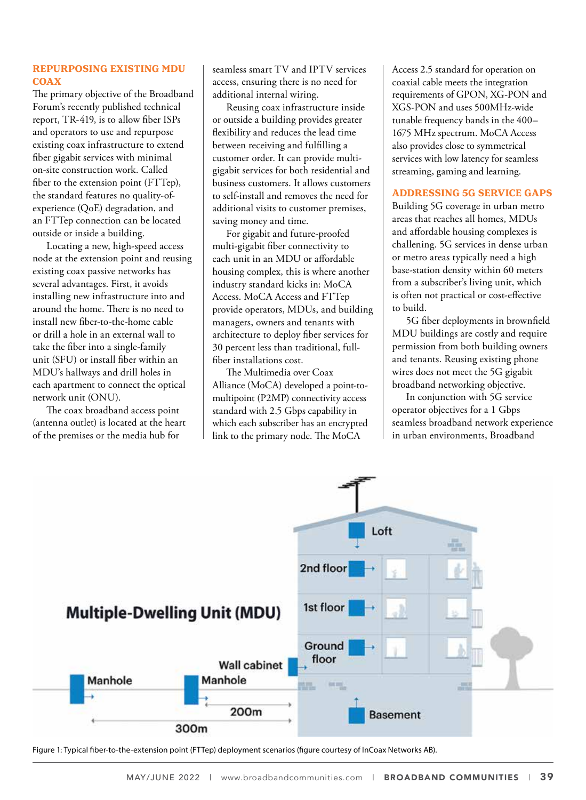## **REPURPOSING EXISTING MDU COAX**

The primary objective of the Broadband Forum's recently published technical report, TR-419, is to allow fiber ISPs and operators to use and repurpose existing coax infrastructure to extend fiber gigabit services with minimal on-site construction work. Called fiber to the extension point (FTTep), the standard features no quality-ofexperience (QoE) degradation, and an FTTep connection can be located outside or inside a building.

Locating a new, high-speed access node at the extension point and reusing existing coax passive networks has several advantages. First, it avoids installing new infrastructure into and around the home. There is no need to install new fiber-to-the-home cable or drill a hole in an external wall to take the fiber into a single-family unit (SFU) or install fiber within an MDU's hallways and drill holes in each apartment to connect the optical network unit (ONU).

The coax broadband access point (antenna outlet) is located at the heart of the premises or the media hub for

seamless smart TV and IPTV services access, ensuring there is no need for additional internal wiring.

Reusing coax infrastructure inside or outside a building provides greater flexibility and reduces the lead time between receiving and fulfilling a customer order. It can provide multigigabit services for both residential and business customers. It allows customers to self-install and removes the need for additional visits to customer premises, saving money and time.

For gigabit and future-proofed multi-gigabit fiber connectivity to each unit in an MDU or affordable housing complex, this is where another industry standard kicks in: MoCA Access. MoCA Access and FTTep provide operators, MDUs, and building managers, owners and tenants with architecture to deploy fiber services for 30 percent less than traditional, fullfiber installations cost.

The Multimedia over Coax Alliance (MoCA) developed a point-tomultipoint (P2MP) connectivity access standard with 2.5 Gbps capability in which each subscriber has an encrypted link to the primary node. The MoCA

Access 2.5 standard for operation on coaxial cable meets the integration requirements of GPON, XG-PON and XGS-PON and uses 500MHz-wide tunable frequency bands in the 400– 1675 MHz spectrum. MoCA Access also provides close to symmetrical services with low latency for seamless streaming, gaming and learning.

#### **ADDRESSING 5G SERVICE GAPS**

Building 5G coverage in urban metro areas that reaches all homes, MDUs and affordable housing complexes is challening. 5G services in dense urban or metro areas typically need a high base-station density within 60 meters from a subscriber's living unit, which is often not practical or cost-effective to build.

5G fiber deployments in brownfield MDU buildings are costly and require permission from both building owners and tenants. Reusing existing phone wires does not meet the 5G gigabit broadband networking objective.

In conjunction with 5G service operator objectives for a 1 Gbps seamless broadband network experience in urban environments, Broadband



Figure 1: Typical fiber-to-the-extension point (FTTep) deployment scenarios (figure courtesy of InCoax Networks AB).